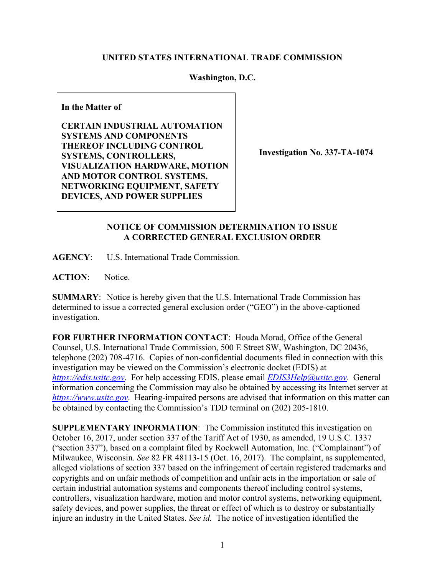## **UNITED STATES INTERNATIONAL TRADE COMMISSION**

## **Washington, D.C.**

**In the Matter of**

**CERTAIN INDUSTRIAL AUTOMATION SYSTEMS AND COMPONENTS THEREOF INCLUDING CONTROL SYSTEMS, CONTROLLERS, VISUALIZATION HARDWARE, MOTION AND MOTOR CONTROL SYSTEMS, NETWORKING EQUIPMENT, SAFETY DEVICES, AND POWER SUPPLIES**

**Investigation No. 337-TA-1074**

## **NOTICE OF COMMISSION DETERMINATION TO ISSUE A CORRECTED GENERAL EXCLUSION ORDER**

**AGENCY**: U.S. International Trade Commission.

**ACTION**: Notice.

**SUMMARY**: Notice is hereby given that the U.S. International Trade Commission has determined to issue a corrected general exclusion order ("GEO") in the above-captioned investigation.

**FOR FURTHER INFORMATION CONTACT**: Houda Morad, Office of the General Counsel, U.S. International Trade Commission, 500 E Street SW, Washington, DC 20436, telephone (202) 708-4716. Copies of non-confidential documents filed in connection with this investigation may be viewed on the Commission's electronic docket (EDIS) at *[https://edis.usitc.gov](https://edis.usitc.gov/)*. For help accessing EDIS, please email *[EDIS3Help@usitc.gov](mailto:EDIS3Help@usitc.gov)*. General information concerning the Commission may also be obtained by accessing its Internet server at *[https://www.usitc.gov](https://www.usitc.gov/)*. Hearing-impaired persons are advised that information on this matter can be obtained by contacting the Commission's TDD terminal on (202) 205-1810.

**SUPPLEMENTARY INFORMATION**: The Commission instituted this investigation on October 16, 2017, under section 337 of the Tariff Act of 1930, as amended, 19 U.S.C. 1337 ("section 337"), based on a complaint filed by Rockwell Automation, Inc. ("Complainant") of Milwaukee, Wisconsin. *See* 82 FR 48113-15 (Oct. 16, 2017). The complaint, as supplemented, alleged violations of section 337 based on the infringement of certain registered trademarks and copyrights and on unfair methods of competition and unfair acts in the importation or sale of certain industrial automation systems and components thereof including control systems, controllers, visualization hardware, motion and motor control systems, networking equipment, safety devices, and power supplies, the threat or effect of which is to destroy or substantially injure an industry in the United States. *See id.* The notice of investigation identified the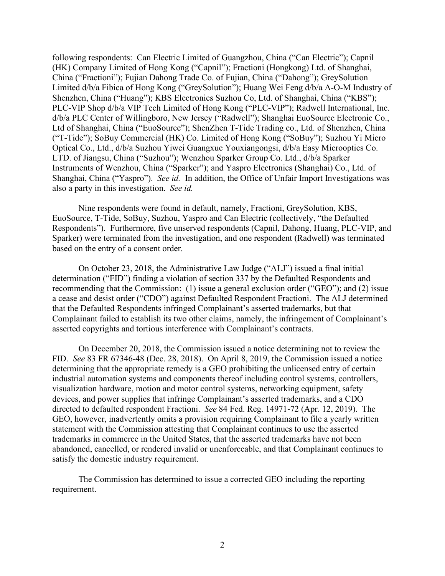following respondents: Can Electric Limited of Guangzhou, China ("Can Electric"); Capnil (HK) Company Limited of Hong Kong ("Capnil"); Fractioni (Hongkong) Ltd. of Shanghai, China ("Fractioni"); Fujian Dahong Trade Co. of Fujian, China ("Dahong"); GreySolution Limited d/b/a Fibica of Hong Kong ("GreySolution"); Huang Wei Feng d/b/a A-O-M Industry of Shenzhen, China ("Huang"); KBS Electronics Suzhou Co, Ltd. of Shanghai, China ("KBS"); PLC-VIP Shop d/b/a VIP Tech Limited of Hong Kong ("PLC-VIP"); Radwell International, Inc. d/b/a PLC Center of Willingboro, New Jersey ("Radwell"); Shanghai EuoSource Electronic Co., Ltd of Shanghai, China ("EuoSource"); ShenZhen T-Tide Trading co., Ltd. of Shenzhen, China ("T-Tide"); SoBuy Commercial (HK) Co. Limited of Hong Kong ("SoBuy"); Suzhou Yi Micro Optical Co., Ltd., d/b/a Suzhou Yiwei Guangxue Youxiangongsi, d/b/a Easy Microoptics Co. LTD. of Jiangsu, China ("Suzhou"); Wenzhou Sparker Group Co. Ltd., d/b/a Sparker Instruments of Wenzhou, China ("Sparker"); and Yaspro Electronics (Shanghai) Co., Ltd. of Shanghai, China ("Yaspro"). *See id.* In addition, the Office of Unfair Import Investigations was also a party in this investigation. *See id.*

Nine respondents were found in default, namely, Fractioni, GreySolution, KBS, EuoSource, T-Tide, SoBuy, Suzhou, Yaspro and Can Electric (collectively, "the Defaulted Respondents"). Furthermore, five unserved respondents (Capnil, Dahong, Huang, PLC-VIP, and Sparker) were terminated from the investigation, and one respondent (Radwell) was terminated based on the entry of a consent order.

On October 23, 2018, the Administrative Law Judge ("ALJ") issued a final initial determination ("FID") finding a violation of section 337 by the Defaulted Respondents and recommending that the Commission: (1) issue a general exclusion order ("GEO"); and (2) issue a cease and desist order ("CDO") against Defaulted Respondent Fractioni. The ALJ determined that the Defaulted Respondents infringed Complainant's asserted trademarks, but that Complainant failed to establish its two other claims, namely, the infringement of Complainant's asserted copyrights and tortious interference with Complainant's contracts.

On December 20, 2018, the Commission issued a notice determining not to review the FID. *See* 83 FR 67346-48 (Dec. 28, 2018). On April 8, 2019, the Commission issued a notice determining that the appropriate remedy is a GEO prohibiting the unlicensed entry of certain industrial automation systems and components thereof including control systems, controllers, visualization hardware, motion and motor control systems, networking equipment, safety devices, and power supplies that infringe Complainant's asserted trademarks, and a CDO directed to defaulted respondent Fractioni. *See* 84 Fed. Reg. 14971-72 (Apr. 12, 2019). The GEO, however, inadvertently omits a provision requiring Complainant to file a yearly written statement with the Commission attesting that Complainant continues to use the asserted trademarks in commerce in the United States, that the asserted trademarks have not been abandoned, cancelled, or rendered invalid or unenforceable, and that Complainant continues to satisfy the domestic industry requirement.

The Commission has determined to issue a corrected GEO including the reporting requirement.